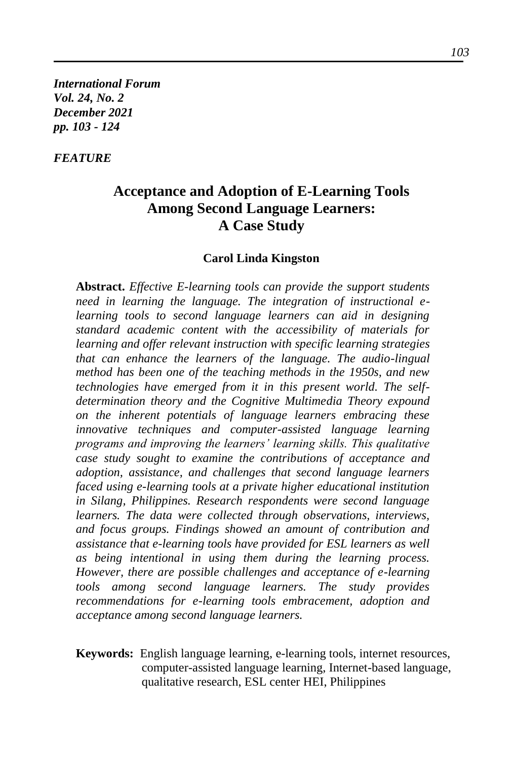*International Forum Vol. 24, No. 2 December 2021 pp. 103 - 124*

# *FEATURE*

# **Acceptance and Adoption of E-Learning Tools Among Second Language Learners: A Case Study**

#### **Carol Linda Kingston**

**Abstract.** *Effective E-learning tools can provide the support students need in learning the language. The integration of instructional elearning tools to second language learners can aid in designing standard academic content with the accessibility of materials for learning and offer relevant instruction with specific learning strategies that can enhance the learners of the language. The audio-lingual method has been one of the teaching methods in the 1950s, and new technologies have emerged from it in this present world. The selfdetermination theory and the Cognitive Multimedia Theory expound on the inherent potentials of language learners embracing these innovative techniques and computer-assisted language learning programs and improving the learners' learning skills. This qualitative case study sought to examine the contributions of acceptance and adoption, assistance, and challenges that second language learners faced using e-learning tools at a private higher educational institution in Silang, Philippines. Research respondents were second language learners. The data were collected through observations, interviews, and focus groups. Findings showed an amount of contribution and assistance that e-learning tools have provided for ESL learners as well as being intentional in using them during the learning process. However, there are possible challenges and acceptance of e-learning tools among second language learners. The study provides recommendations for e-learning tools embracement, adoption and acceptance among second language learners.*

**Keywords:** English language learning, e-learning tools, internet resources, computer-assisted language learning, Internet-based language, qualitative research, ESL center HEI, Philippines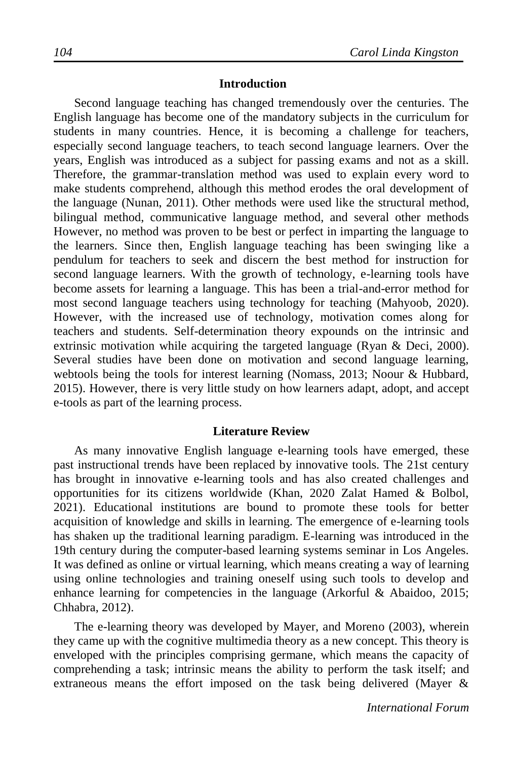### **Introduction**

Second language teaching has changed tremendously over the centuries. The English language has become one of the mandatory subjects in the curriculum for students in many countries. Hence, it is becoming a challenge for teachers, especially second language teachers, to teach second language learners. Over the years, English was introduced as a subject for passing exams and not as a skill. Therefore, the grammar-translation method was used to explain every word to make students comprehend, although this method erodes the oral development of the language (Nunan, 2011). Other methods were used like the structural method, bilingual method, communicative language method, and several other methods However, no method was proven to be best or perfect in imparting the language to the learners. Since then, English language teaching has been swinging like a pendulum for teachers to seek and discern the best method for instruction for second language learners. With the growth of technology, e-learning tools have become assets for learning a language. This has been a trial-and-error method for most second language teachers using technology for teaching (Mahyoob, 2020). However, with the increased use of technology, motivation comes along for teachers and students. Self-determination theory expounds on the intrinsic and extrinsic motivation while acquiring the targeted language (Ryan & Deci, 2000). Several studies have been done on motivation and second language learning, webtools being the tools for interest learning (Nomass, 2013; Noour & Hubbard, 2015). However, there is very little study on how learners adapt, adopt, and accept e-tools as part of the learning process.

#### **Literature Review**

As many innovative English language e-learning tools have emerged, these past instructional trends have been replaced by innovative tools. The 21st century has brought in innovative e-learning tools and has also created challenges and opportunities for its citizens worldwide (Khan, 2020 Zalat Hamed & Bolbol, 2021). Educational institutions are bound to promote these tools for better acquisition of knowledge and skills in learning. The emergence of e-learning tools has shaken up the traditional learning paradigm. E-learning was introduced in the 19th century during the computer-based learning systems seminar in Los Angeles. It was defined as online or virtual learning, which means creating a way of learning using online technologies and training oneself using such tools to develop and enhance learning for competencies in the language (Arkorful & Abaidoo, 2015; Chhabra, 2012).

The e-learning theory was developed by Mayer, and Moreno (2003), wherein they came up with the cognitive multimedia theory as a new concept. This theory is enveloped with the principles comprising germane, which means the capacity of comprehending a task; intrinsic means the ability to perform the task itself; and extraneous means the effort imposed on the task being delivered (Mayer &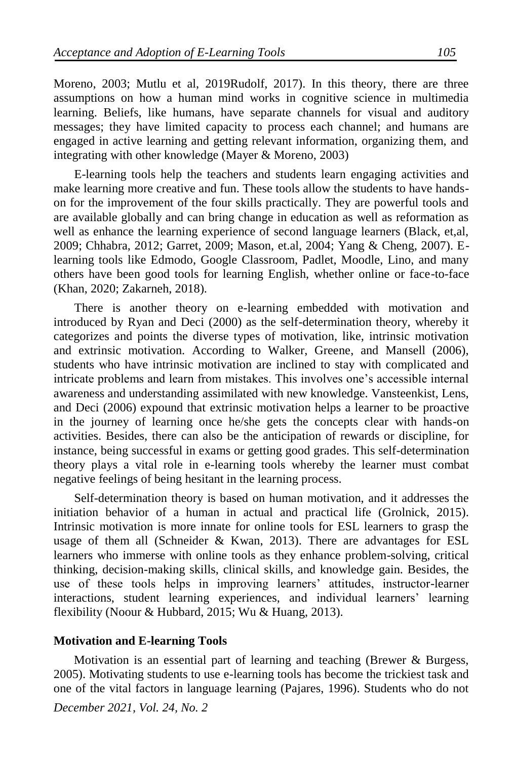Moreno, 2003; Mutlu et al, 2019Rudolf, 2017). In this theory, there are three assumptions on how a human mind works in cognitive science in multimedia learning. Beliefs, like humans, have separate channels for visual and auditory messages; they have limited capacity to process each channel; and humans are engaged in active learning and getting relevant information, organizing them, and integrating with other knowledge (Mayer & Moreno, 2003)

E-learning tools help the teachers and students learn engaging activities and make learning more creative and fun. These tools allow the students to have handson for the improvement of the four skills practically. They are powerful tools and are available globally and can bring change in education as well as reformation as well as enhance the learning experience of second language learners (Black, et,al, 2009; Chhabra, 2012; Garret, 2009; Mason, et.al, 2004; Yang & Cheng, 2007). Elearning tools like Edmodo, Google Classroom, Padlet, Moodle, Lino, and many others have been good tools for learning English, whether online or face-to-face (Khan, 2020; Zakarneh, 2018).

There is another theory on e-learning embedded with motivation and introduced by Ryan and Deci (2000) as the self-determination theory, whereby it categorizes and points the diverse types of motivation, like, intrinsic motivation and extrinsic motivation. According to Walker, Greene, and Mansell (2006), students who have intrinsic motivation are inclined to stay with complicated and intricate problems and learn from mistakes. This involves one's accessible internal awareness and understanding assimilated with new knowledge. Vansteenkist, Lens, and Deci (2006) expound that extrinsic motivation helps a learner to be proactive in the journey of learning once he/she gets the concepts clear with hands-on activities. Besides, there can also be the anticipation of rewards or discipline, for instance, being successful in exams or getting good grades. This self-determination theory plays a vital role in e-learning tools whereby the learner must combat negative feelings of being hesitant in the learning process.

Self-determination theory is based on human motivation, and it addresses the initiation behavior of a human in actual and practical life (Grolnick, 2015). Intrinsic motivation is more innate for online tools for ESL learners to grasp the usage of them all (Schneider & Kwan, 2013). There are advantages for ESL learners who immerse with online tools as they enhance problem-solving, critical thinking, decision-making skills, clinical skills, and knowledge gain. Besides, the use of these tools helps in improving learners' attitudes, instructor-learner interactions, student learning experiences, and individual learners' learning flexibility (Noour & Hubbard, 2015; Wu & Huang, 2013).

#### **Motivation and E-learning Tools**

Motivation is an essential part of learning and teaching (Brewer & Burgess, 2005). Motivating students to use e-learning tools has become the trickiest task and one of the vital factors in language learning (Pajares, 1996). Students who do not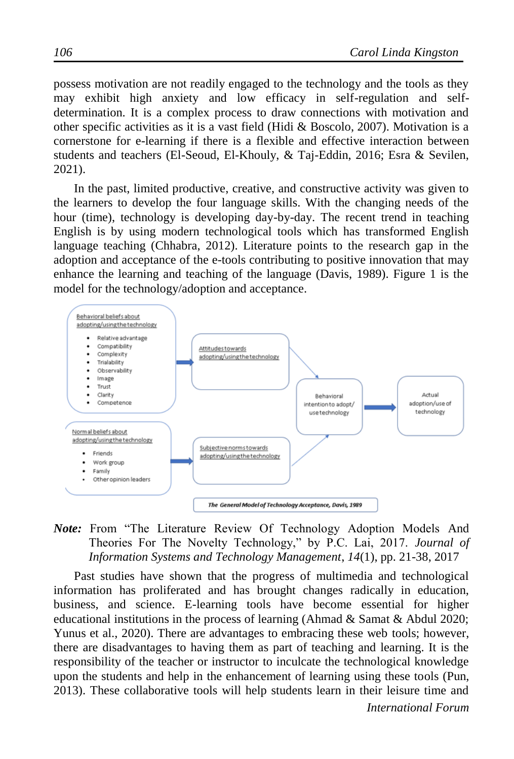possess motivation are not readily engaged to the technology and the tools as they may exhibit high anxiety and low efficacy in self-regulation and selfdetermination. It is a complex process to draw connections with motivation and other specific activities as it is a vast field (Hidi & Boscolo, 2007). Motivation is a cornerstone for e-learning if there is a flexible and effective interaction between students and teachers (El-Seoud, El-Khouly, & Taj-Eddin, 2016; Esra & Sevilen, 2021).

In the past, limited productive, creative, and constructive activity was given to the learners to develop the four language skills. With the changing needs of the hour (time), technology is developing day-by-day. The recent trend in teaching English is by using modern technological tools which has transformed English language teaching (Chhabra, 2012). Literature points to the research gap in the adoption and acceptance of the e-tools contributing to positive innovation that may enhance the learning and teaching of the language (Davis, 1989). Figure 1 is the model for the technology/adoption and acceptance.



*Note:* From "The Literature Review Of Technology Adoption Models And Theories For The Novelty Technology," by P.C. Lai, 2017. *Journal of Information Systems and Technology Management*, *14*(1), pp. 21-38, 2017

Past studies have shown that the progress of multimedia and technological information has proliferated and has brought changes radically in education, business, and science. E-learning tools have become essential for higher educational institutions in the process of learning (Ahmad & Samat & Abdul 2020; Yunus et al., 2020). There are advantages to embracing these web tools; however, there are disadvantages to having them as part of teaching and learning. It is the responsibility of the teacher or instructor to inculcate the technological knowledge upon the students and help in the enhancement of learning using these tools (Pun, 2013). These collaborative tools will help students learn in their leisure time and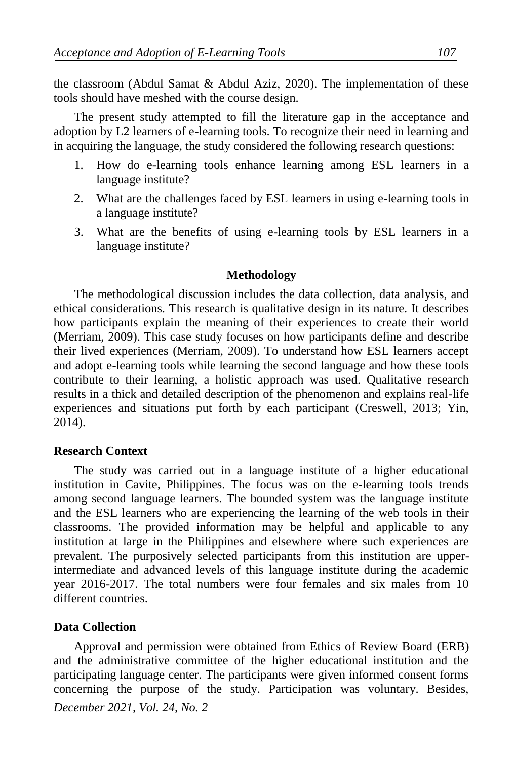the classroom (Abdul Samat & Abdul Aziz, 2020). The implementation of these tools should have meshed with the course design.

The present study attempted to fill the literature gap in the acceptance and adoption by L2 learners of e-learning tools. To recognize their need in learning and in acquiring the language, the study considered the following research questions:

- 1. How do e-learning tools enhance learning among ESL learners in a language institute?
- 2. What are the challenges faced by ESL learners in using e-learning tools in a language institute?
- 3. What are the benefits of using e-learning tools by ESL learners in a language institute?

#### **Methodology**

The methodological discussion includes the data collection, data analysis, and ethical considerations. This research is qualitative design in its nature. It describes how participants explain the meaning of their experiences to create their world (Merriam, 2009). This case study focuses on how participants define and describe their lived experiences (Merriam, 2009). To understand how ESL learners accept and adopt e-learning tools while learning the second language and how these tools contribute to their learning, a holistic approach was used. Qualitative research results in a thick and detailed description of the phenomenon and explains real-life experiences and situations put forth by each participant (Creswell, 2013; Yin, 2014).

#### **Research Context**

The study was carried out in a language institute of a higher educational institution in Cavite, Philippines. The focus was on the e-learning tools trends among second language learners. The bounded system was the language institute and the ESL learners who are experiencing the learning of the web tools in their classrooms. The provided information may be helpful and applicable to any institution at large in the Philippines and elsewhere where such experiences are prevalent. The purposively selected participants from this institution are upperintermediate and advanced levels of this language institute during the academic year 2016-2017. The total numbers were four females and six males from 10 different countries.

#### **Data Collection**

*December 2021, Vol. 24, No. 2* Approval and permission were obtained from Ethics of Review Board (ERB) and the administrative committee of the higher educational institution and the participating language center. The participants were given informed consent forms concerning the purpose of the study. Participation was voluntary. Besides,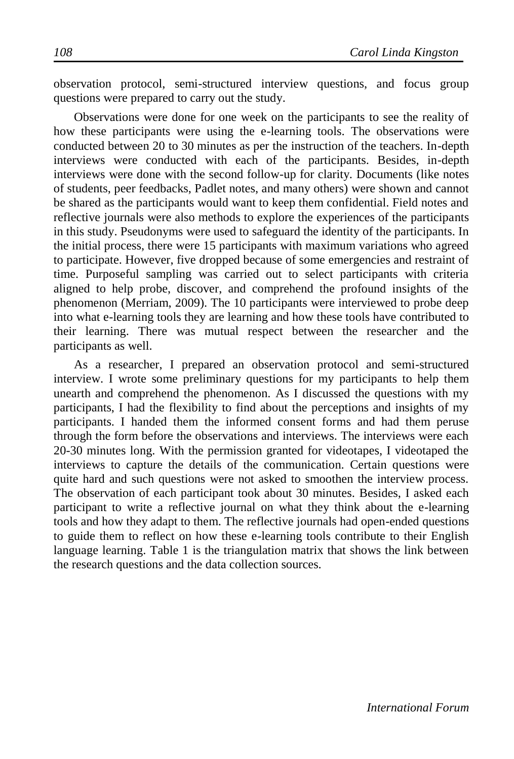observation protocol, semi-structured interview questions, and focus group questions were prepared to carry out the study.

Observations were done for one week on the participants to see the reality of how these participants were using the e-learning tools. The observations were conducted between 20 to 30 minutes as per the instruction of the teachers. In-depth interviews were conducted with each of the participants. Besides, in-depth interviews were done with the second follow-up for clarity. Documents (like notes of students, peer feedbacks, Padlet notes, and many others) were shown and cannot be shared as the participants would want to keep them confidential. Field notes and reflective journals were also methods to explore the experiences of the participants in this study. Pseudonyms were used to safeguard the identity of the participants. In the initial process, there were 15 participants with maximum variations who agreed to participate. However, five dropped because of some emergencies and restraint of time. Purposeful sampling was carried out to select participants with criteria aligned to help probe, discover, and comprehend the profound insights of the phenomenon (Merriam, 2009). The 10 participants were interviewed to probe deep into what e-learning tools they are learning and how these tools have contributed to their learning. There was mutual respect between the researcher and the participants as well.

As a researcher, I prepared an observation protocol and semi-structured interview. I wrote some preliminary questions for my participants to help them unearth and comprehend the phenomenon. As I discussed the questions with my participants, I had the flexibility to find about the perceptions and insights of my participants. I handed them the informed consent forms and had them peruse through the form before the observations and interviews. The interviews were each 20-30 minutes long. With the permission granted for videotapes, I videotaped the interviews to capture the details of the communication. Certain questions were quite hard and such questions were not asked to smoothen the interview process. The observation of each participant took about 30 minutes. Besides, I asked each participant to write a reflective journal on what they think about the e-learning tools and how they adapt to them. The reflective journals had open-ended questions to guide them to reflect on how these e-learning tools contribute to their English language learning. Table 1 is the triangulation matrix that shows the link between the research questions and the data collection sources.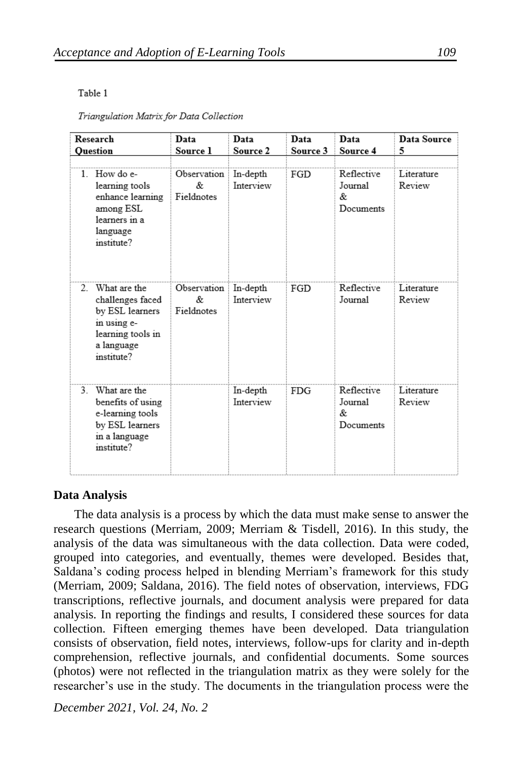#### Table 1

Triangulation Matrix for Data Collection

| Research<br><b>Ouestion</b>                                                                                            | Data<br>Source 1                | Data<br>Source 2      | Data<br>Source 3 | Data<br>Source 4                         | Data Source<br>5     |
|------------------------------------------------------------------------------------------------------------------------|---------------------------------|-----------------------|------------------|------------------------------------------|----------------------|
| 1. How do e-<br>learning tools<br>enhance learning<br>among ESL<br>learners in a<br>language<br>institute?             | Observation<br>&.<br>Fieldnotes | In-depth<br>Interview | FGD              | Reflective<br>Journal<br>&.<br>Documents | Literature<br>Review |
| 2. What are the<br>challenges faced<br>by ESL learners<br>in using e-<br>learning tools in<br>a language<br>institute? | Observation<br>&.<br>Fieldnotes | In-depth<br>Interview | FGD              | Reflective<br>Journal                    | Literature<br>Review |
| 3. What are the<br>benefits of using<br>e-learning tools<br>by ESL learners<br>in a language<br>institute?             |                                 | In-depth<br>Interview | <b>FDG</b>       | Reflective<br>Journal<br>&<br>Documents  | Literature<br>Review |

#### **Data Analysis**

The data analysis is a process by which the data must make sense to answer the research questions (Merriam, 2009; Merriam & Tisdell, 2016). In this study, the analysis of the data was simultaneous with the data collection. Data were coded, grouped into categories, and eventually, themes were developed. Besides that, Saldana's coding process helped in blending Merriam's framework for this study (Merriam, 2009; Saldana, 2016). The field notes of observation, interviews, FDG transcriptions, reflective journals, and document analysis were prepared for data analysis. In reporting the findings and results, I considered these sources for data collection. Fifteen emerging themes have been developed. Data triangulation consists of observation, field notes, interviews, follow-ups for clarity and in-depth comprehension, reflective journals, and confidential documents. Some sources (photos) were not reflected in the triangulation matrix as they were solely for the researcher's use in the study. The documents in the triangulation process were the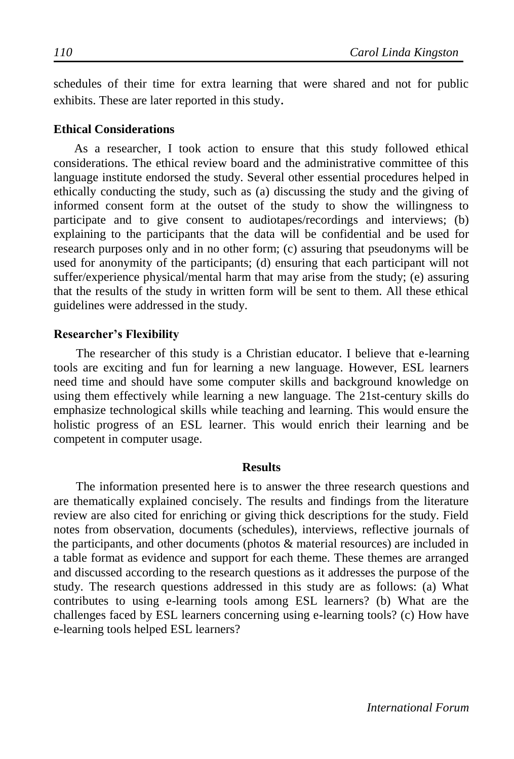schedules of their time for extra learning that were shared and not for public exhibits. These are later reported in this study.

#### **Ethical Considerations**

As a researcher, I took action to ensure that this study followed ethical considerations. The ethical review board and the administrative committee of this language institute endorsed the study. Several other essential procedures helped in ethically conducting the study, such as (a) discussing the study and the giving of informed consent form at the outset of the study to show the willingness to participate and to give consent to audiotapes/recordings and interviews; (b) explaining to the participants that the data will be confidential and be used for research purposes only and in no other form; (c) assuring that pseudonyms will be used for anonymity of the participants; (d) ensuring that each participant will not suffer/experience physical/mental harm that may arise from the study; (e) assuring that the results of the study in written form will be sent to them. All these ethical guidelines were addressed in the study.

## **Researcher's Flexibility**

The researcher of this study is a Christian educator. I believe that e-learning tools are exciting and fun for learning a new language. However, ESL learners need time and should have some computer skills and background knowledge on using them effectively while learning a new language. The 21st-century skills do emphasize technological skills while teaching and learning. This would ensure the holistic progress of an ESL learner. This would enrich their learning and be competent in computer usage.

#### **Results**

The information presented here is to answer the three research questions and are thematically explained concisely. The results and findings from the literature review are also cited for enriching or giving thick descriptions for the study. Field notes from observation, documents (schedules), interviews, reflective journals of the participants, and other documents (photos & material resources) are included in a table format as evidence and support for each theme. These themes are arranged and discussed according to the research questions as it addresses the purpose of the study. The research questions addressed in this study are as follows: (a) What contributes to using e-learning tools among ESL learners? (b) What are the challenges faced by ESL learners concerning using e-learning tools? (c) How have e-learning tools helped ESL learners?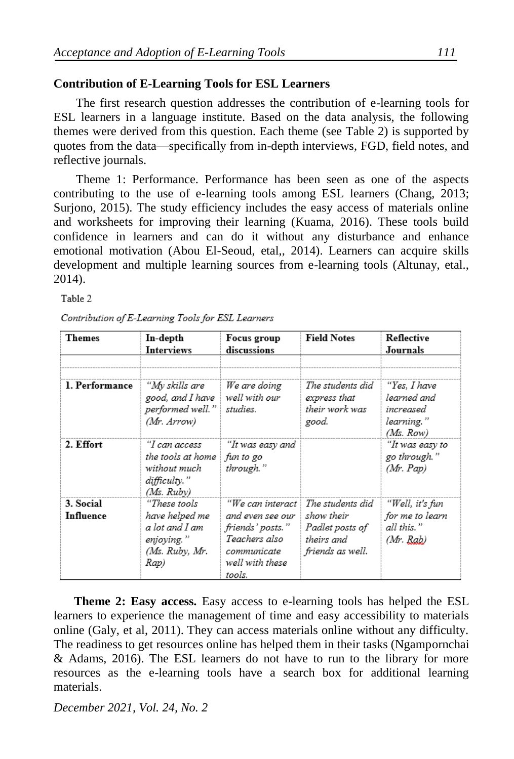# **Contribution of E-Learning Tools for ESL Learners**

The first research question addresses the contribution of e-learning tools for ESL learners in a language institute. Based on the data analysis, the following themes were derived from this question. Each theme (see Table 2) is supported by quotes from the data—specifically from in-depth interviews, FGD, field notes, and reflective journals.

Theme 1: Performance. Performance has been seen as one of the aspects contributing to the use of e-learning tools among ESL learners (Chang, 2013; Surjono, 2015). The study efficiency includes the easy access of materials online and worksheets for improving their learning (Kuama, 2016). These tools build confidence in learners and can do it without any disturbance and enhance emotional motivation (Abou El-Seoud, etal,, 2014). Learners can acquire skills development and multiple learning sources from e-learning tools (Altunay, etal., 2014).

Table 2

| Themes                 | In-depth<br><b>Interviews</b>                                                            | Focus group<br>discussions                                                                                           | <b>Field Notes</b>                                                                  | Reflective<br>Journals                                              |
|------------------------|------------------------------------------------------------------------------------------|----------------------------------------------------------------------------------------------------------------------|-------------------------------------------------------------------------------------|---------------------------------------------------------------------|
| 1. Performance         | "My skills are<br>good, and I have<br>performed well."<br>(Mr. Arrow)                    | We are doing<br>well with our<br>studies.                                                                            | The students did<br>express that<br>their work was<br>good.                         | "Yes, I have<br>learned and<br>increased<br>learning."<br>(Ms. Row) |
| 2. Effort              | "I can access<br>the tools at home<br>without much<br>difficulty."<br>(Ms. Rubv)         | "It was easy and<br>fun to go<br>through."                                                                           |                                                                                     | "It was easy to<br>go through."<br>$Mr.$ Pap)                       |
| 3. Social<br>Influence | "These tools<br>have helped me<br>a lot and I am<br>enjoving."<br>(Ms. Ruby, Mr.<br>Rap) | "We can interact<br>and even see our<br>friends' posts."<br>Teachers also<br>communicate<br>well with these<br>tools | The students did<br>show their<br>Padlet posts of<br>theirs and<br>friends as well. | "Well, it's fun<br>for me to learn<br>all this."<br>(Mr. Rab)       |

Contribution of E-Learning Tools for ESL Learners

**Theme 2: Easy access.** Easy access to e-learning tools has helped the ESL learners to experience the management of time and easy accessibility to materials online (Galy, et al, 2011). They can access materials online without any difficulty. The readiness to get resources online has helped them in their tasks (Ngampornchai & Adams, 2016). The ESL learners do not have to run to the library for more resources as the e-learning tools have a search box for additional learning materials.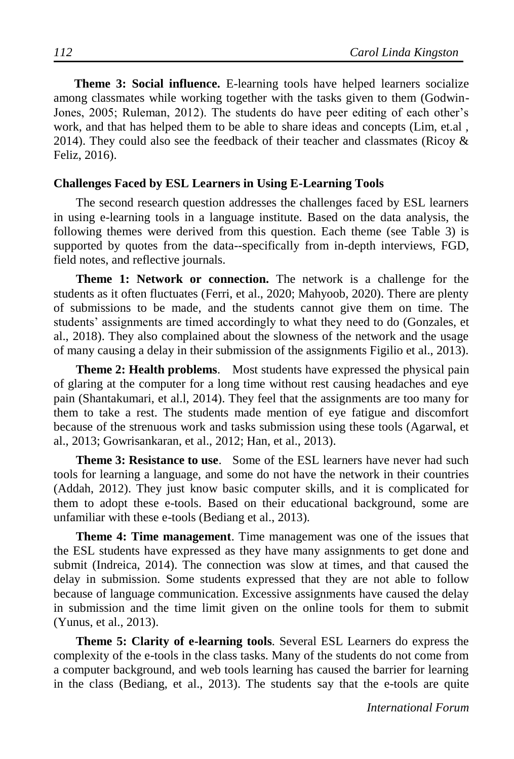**Theme 3: Social influence.** E-learning tools have helped learners socialize among classmates while working together with the tasks given to them (Godwin-Jones, 2005; Ruleman, 2012). The students do have peer editing of each other's work, and that has helped them to be able to share ideas and concepts (Lim, et.al , 2014). They could also see the feedback of their teacher and classmates (Ricoy  $\&$ Feliz, 2016).

#### **Challenges Faced by ESL Learners in Using E-Learning Tools**

The second research question addresses the challenges faced by ESL learners in using e-learning tools in a language institute. Based on the data analysis, the following themes were derived from this question. Each theme (see Table 3) is supported by quotes from the data--specifically from in-depth interviews, FGD, field notes, and reflective journals.

**Theme 1: Network or connection.** The network is a challenge for the students as it often fluctuates (Ferri, et al., 2020; Mahyoob, 2020). There are plenty of submissions to be made, and the students cannot give them on time. The students' assignments are timed accordingly to what they need to do (Gonzales, et al., 2018). They also complained about the slowness of the network and the usage of many causing a delay in their submission of the assignments Figilio et al., 2013).

**Theme 2: Health problems.** Most students have expressed the physical pain of glaring at the computer for a long time without rest causing headaches and eye pain (Shantakumari, et al.l, 2014). They feel that the assignments are too many for them to take a rest. The students made mention of eye fatigue and discomfort because of the strenuous work and tasks submission using these tools (Agarwal, et al., 2013; Gowrisankaran, et al., 2012; Han, et al., 2013).

**Theme 3: Resistance to use.** Some of the ESL learners have never had such tools for learning a language, and some do not have the network in their countries (Addah, 2012). They just know basic computer skills, and it is complicated for them to adopt these e-tools. Based on their educational background, some are unfamiliar with these e-tools (Bediang et al., 2013).

**Theme 4: Time management**. Time management was one of the issues that the ESL students have expressed as they have many assignments to get done and submit (Indreica, 2014). The connection was slow at times, and that caused the delay in submission. Some students expressed that they are not able to follow because of language communication. Excessive assignments have caused the delay in submission and the time limit given on the online tools for them to submit (Yunus, et al., 2013).

**Theme 5: Clarity of e-learning tools**. Several ESL Learners do express the complexity of the e-tools in the class tasks. Many of the students do not come from a computer background, and web tools learning has caused the barrier for learning in the class (Bediang, et al., 2013). The students say that the e-tools are quite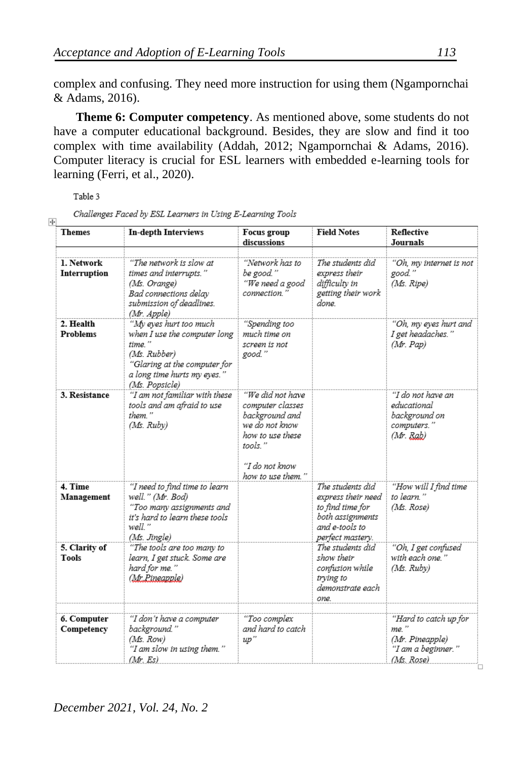complex and confusing. They need more instruction for using them (Ngampornchai & Adams, 2016).

**Theme 6: Computer competency**. As mentioned above, some students do not have a computer educational background. Besides, they are slow and find it too complex with time availability (Addah, 2012; Ngampornchai & Adams, 2016). Computer literacy is crucial for ESL learners with embedded e-learning tools for learning (Ferri, et al., 2020).

Table 3

Challenges Faced by ESL Learners in Using E-Learning Tools

| <b>Themes</b>                 | <b>In-depth Interviews</b>                                                                                                                                        | Focus group<br>discussions                                                                                                                      | <b>Field Notes</b>                                                                                                   | Reflective<br><b>Journals</b>                                                        |
|-------------------------------|-------------------------------------------------------------------------------------------------------------------------------------------------------------------|-------------------------------------------------------------------------------------------------------------------------------------------------|----------------------------------------------------------------------------------------------------------------------|--------------------------------------------------------------------------------------|
| 1. Network<br>Interruption    | "The network is slow at<br>times and interrupts."<br>(Ms. Orange)<br>Bad connections delay<br>submission of deadlines.<br>(Mr. Apple)                             | "Network has to<br>be good."<br>"We need a good<br>connection."                                                                                 | The students did<br>express their<br>difficultv in<br>getting their work<br>done.                                    | "Oh, my internet is not<br>good."<br>(Ms. Ripe)                                      |
| 2. Health<br><b>Problems</b>  | "My eves hurt too much<br>when I use the computer long<br>time."<br>(Ms. Rubber)<br>"Glaring at the computer for<br>a long time hurts my eyes."<br>(Ms. Popsicle) | "Spending too<br>much time on<br>screen is not<br>good."                                                                                        |                                                                                                                      | "Oh, my eves hurt and<br>I get headaches."<br>(Mr. Pap)                              |
| 3. Resistance                 | "I am not familiar with these<br>tools and am afraid to use<br>them."<br>(Ms. Ruby)                                                                               | "We did not have<br>computer classes<br>background and<br>we do not know<br>how to use these<br>tools."<br>''I do not know<br>how to use them." |                                                                                                                      | "I do not have an<br>educational<br>background on<br>computers."<br>(Mr, Rab)        |
| 4. Time<br>Management         | "I need to find time to learn<br>well." (Mr. Bod)<br>"Too many assignments and<br>it's hard to learn these tools<br>well."<br>(Ms. Jingle)                        |                                                                                                                                                 | The students did<br>express their need<br>to find time for<br>both assignments<br>and e-tools to<br>perfect masterv. | "How will I find time<br>to learn."<br>(Ms. Rose)                                    |
| 5. Clarity of<br><b>Tools</b> | "The tools are too many to<br>learn, I get stuck. Some are<br>hard for me."<br>(Mr.Pineapple)                                                                     |                                                                                                                                                 | The students did<br>show their<br>confusion while<br>trying to<br>demonstrate each<br>one.                           | "Oh, I get confused<br>with each one."<br>(Ms. Rubv)                                 |
| 6. Computer<br>Competency     | "I don't have a computer<br>background."<br>(Ms. Row)<br>"I am slow in using them."<br>(Mr. Es)                                                                   | "Too complex<br>and hard to catch<br>up''                                                                                                       |                                                                                                                      | "Hard to catch up for<br>me."<br>(Mr. Pineapple)<br>"I am a beginner."<br>(Ms. Rose) |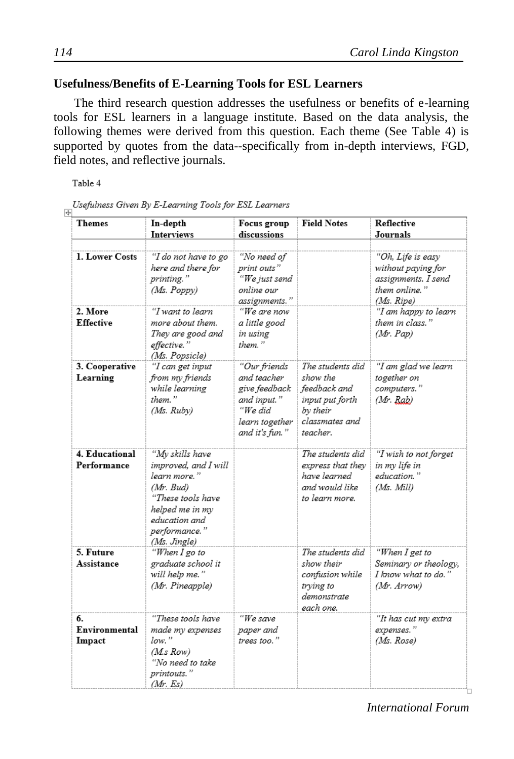# **Usefulness/Benefits of E-Learning Tools for ESL Learners**

The third research question addresses the usefulness or benefits of e-learning tools for ESL learners in a language institute. Based on the data analysis, the following themes were derived from this question. Each theme (See Table 4) is supported by quotes from the data--specifically from in-depth interviews, FGD, field notes, and reflective journals.

Table 4

|                |  | Usefulness Given By E-Learning Tools for ESL Learners |  |  |  |
|----------------|--|-------------------------------------------------------|--|--|--|
| $\overline{+}$ |  |                                                       |  |  |  |

| <b>Themes</b>                 | In-depth<br><b>Interviews</b>                                                                                                                                  | Focus group<br>discussions                                                                                 | <b>Field Notes</b>                                                                                        | <b>Reflective</b><br>Journals                                                                                         |
|-------------------------------|----------------------------------------------------------------------------------------------------------------------------------------------------------------|------------------------------------------------------------------------------------------------------------|-----------------------------------------------------------------------------------------------------------|-----------------------------------------------------------------------------------------------------------------------|
|                               |                                                                                                                                                                |                                                                                                            |                                                                                                           |                                                                                                                       |
| 1. Lower Costs<br>2. More     | "I do not have to go<br>here and there for<br>printing."<br>(Ms. Poppy)<br>"I want to learn                                                                    | "No need of<br>print outs"<br>"We just send<br>online our<br>assignments."<br>"We are now                  |                                                                                                           | "Oh, Life is easy<br>without paying for<br>assignments. I send<br>them online."<br>(Ms. Ripe)<br>"I am happy to learn |
| <b>Effective</b>              | more about them.<br>They are good and<br>effective."<br>(Ms. Popsicle)                                                                                         | a little good<br>in using<br>them."                                                                        |                                                                                                           | them in class."<br>(Mr. Pap)                                                                                          |
| 3. Cooperative<br>Learning    | "I can get input<br>from my friends<br>while learning<br>them."<br>(Ms. Rubv)                                                                                  | "Our friends<br>and teacher<br>give feedback<br>and input."<br>"We did<br>learn together<br>and it's fun." | The students did<br>show the<br>feedback and<br>input put forth<br>by their<br>classmates and<br>teacher. | "I am glad we learn<br>together on<br>computers."<br>$Mr.$ $Rab)$                                                     |
| 4. Educational<br>Performance | "My skills have<br>improved, and I will<br>learn more."<br>(Mr. Bud)<br>"These tools have<br>helped me in my<br>education and<br>performance."<br>(Ms. Jingle) |                                                                                                            | The students did<br>express that they<br>have learned<br>and would like<br>to learn more.                 | "I wish to not forget<br>in my life in<br>education."<br>(Ms. Mill)                                                   |
| 5. Future<br>Assistance       | "When I go to<br>graduate school it<br>will help me."<br>(Mr. Pineapple)                                                                                       |                                                                                                            | The students did<br>show their<br>confusion while<br>trying to<br>demonstrate<br>each one.                | "When I get to<br>Seminary or theology,<br>I know what to do."<br>(Mr. Arrow)                                         |
| 6.<br>Environmental<br>Impact | "These tools have<br>made my expenses<br>$low.$ "<br>(M.s Row)<br>"No need to take<br>printouts."<br>Mr. Es)                                                   | "We save<br>paper and<br>trees too."                                                                       |                                                                                                           | "It has cut my extra<br>expenses."<br>(Ms. Rose)                                                                      |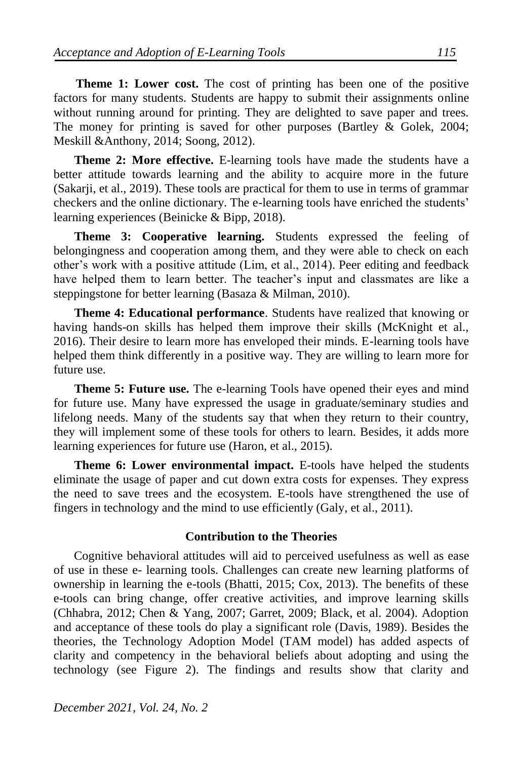**Theme 1: Lower cost.** The cost of printing has been one of the positive factors for many students. Students are happy to submit their assignments online without running around for printing. They are delighted to save paper and trees. The money for printing is saved for other purposes (Bartley & Golek, 2004; Meskill &Anthony, 2014; Soong, 2012).

**Theme 2: More effective.** E-learning tools have made the students have a better attitude towards learning and the ability to acquire more in the future (Sakarji, et al., 2019). These tools are practical for them to use in terms of grammar checkers and the online dictionary. The e-learning tools have enriched the students' learning experiences (Beinicke & Bipp, 2018).

**Theme 3: Cooperative learning.** Students expressed the feeling of belongingness and cooperation among them, and they were able to check on each other's work with a positive attitude (Lim, et al., 2014). Peer editing and feedback have helped them to learn better. The teacher's input and classmates are like a steppingstone for better learning (Basaza & Milman, 2010).

**Theme 4: Educational performance**. Students have realized that knowing or having hands-on skills has helped them improve their skills (McKnight et al., 2016). Their desire to learn more has enveloped their minds. E-learning tools have helped them think differently in a positive way. They are willing to learn more for future use.

**Theme 5: Future use.** The e-learning Tools have opened their eyes and mind for future use. Many have expressed the usage in graduate/seminary studies and lifelong needs. Many of the students say that when they return to their country, they will implement some of these tools for others to learn. Besides, it adds more learning experiences for future use (Haron, et al., 2015).

**Theme 6: Lower environmental impact.** E-tools have helped the students eliminate the usage of paper and cut down extra costs for expenses. They express the need to save trees and the ecosystem. E-tools have strengthened the use of fingers in technology and the mind to use efficiently (Galy, et al., 2011).

## **Contribution to the Theories**

Cognitive behavioral attitudes will aid to perceived usefulness as well as ease of use in these e- learning tools. Challenges can create new learning platforms of ownership in learning the e-tools (Bhatti, 2015; Cox, 2013). The benefits of these e-tools can bring change, offer creative activities, and improve learning skills (Chhabra, 2012; Chen & Yang, 2007; Garret, 2009; Black, et al. 2004). Adoption and acceptance of these tools do play a significant role (Davis, 1989). Besides the theories, the Technology Adoption Model (TAM model) has added aspects of clarity and competency in the behavioral beliefs about adopting and using the technology (see Figure 2). The findings and results show that clarity and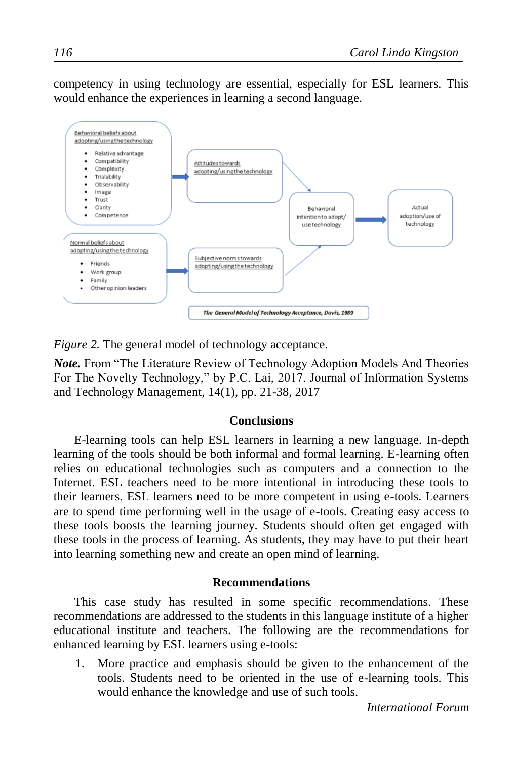competency in using technology are essential, especially for ESL learners. This would enhance the experiences in learning a second language.



*Figure 2.* The general model of technology acceptance.

*Note.* From "The Literature Review of Technology Adoption Models And Theories For The Novelty Technology," by P.C. Lai, 2017. Journal of Information Systems and Technology Management, 14(1), pp. 21-38, 2017

#### **Conclusions**

E-learning tools can help ESL learners in learning a new language. In-depth learning of the tools should be both informal and formal learning. E-learning often relies on educational technologies such as computers and a connection to the Internet. ESL teachers need to be more intentional in introducing these tools to their learners. ESL learners need to be more competent in using e-tools. Learners are to spend time performing well in the usage of e-tools. Creating easy access to these tools boosts the learning journey. Students should often get engaged with these tools in the process of learning. As students, they may have to put their heart into learning something new and create an open mind of learning.

#### **Recommendations**

This case study has resulted in some specific recommendations. These recommendations are addressed to the students in this language institute of a higher educational institute and teachers. The following are the recommendations for enhanced learning by ESL learners using e-tools:

1. More practice and emphasis should be given to the enhancement of the tools. Students need to be oriented in the use of e-learning tools. This would enhance the knowledge and use of such tools.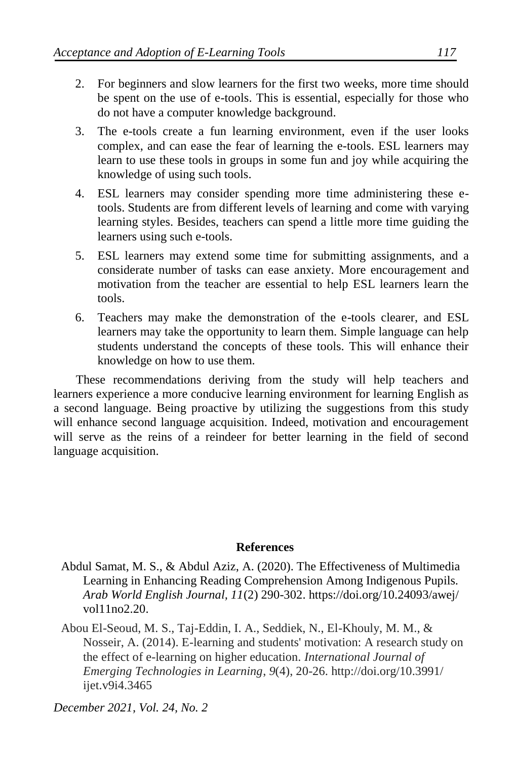- 2. For beginners and slow learners for the first two weeks, more time should be spent on the use of e-tools. This is essential, especially for those who do not have a computer knowledge background.
- 3. The e-tools create a fun learning environment, even if the user looks complex, and can ease the fear of learning the e-tools. ESL learners may learn to use these tools in groups in some fun and joy while acquiring the knowledge of using such tools.
- 4. ESL learners may consider spending more time administering these etools. Students are from different levels of learning and come with varying learning styles. Besides, teachers can spend a little more time guiding the learners using such e-tools.
- 5. ESL learners may extend some time for submitting assignments, and a considerate number of tasks can ease anxiety. More encouragement and motivation from the teacher are essential to help ESL learners learn the tools.
- 6. Teachers may make the demonstration of the e-tools clearer, and ESL learners may take the opportunity to learn them. Simple language can help students understand the concepts of these tools. This will enhance their knowledge on how to use them.

These recommendations deriving from the study will help teachers and learners experience a more conducive learning environment for learning English as a second language. Being proactive by utilizing the suggestions from this study will enhance second language acquisition. Indeed, motivation and encouragement will serve as the reins of a reindeer for better learning in the field of second language acquisition.

#### **References**

- Abdul Samat, M. S., & Abdul Aziz, A. (2020). The Effectiveness of Multimedia Learning in Enhancing Reading Comprehension Among Indigenous Pupils. *Arab World English Journal, 11*(2) 290-302. https://doi.org/10.24093/awej/ vol11no2.20.
- Abou El-Seoud, M. S., Taj-Eddin, I. A., Seddiek, N., El-Khouly, M. M., & Nosseir, A. (2014). E-learning and students' motivation: A research study on the effect of e-learning on higher education. *International Journal of Emerging Technologies in Learning*, *9*(4), 20-26. http://doi.org/10.3991/ ijet.v9i4.3465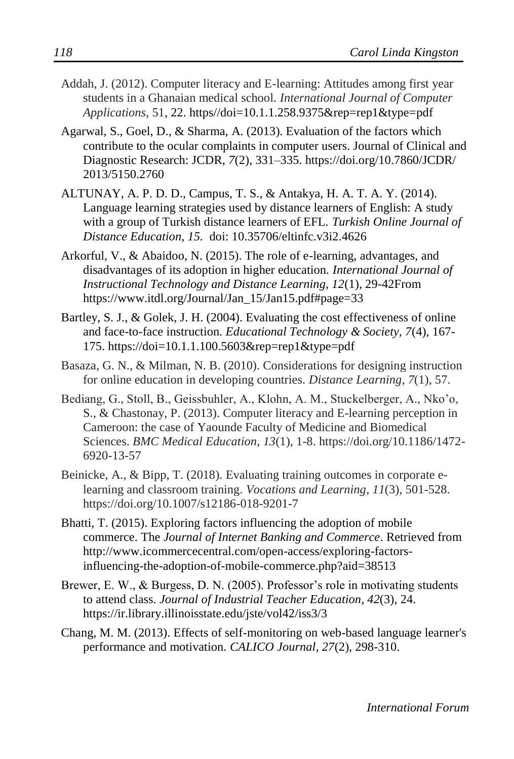- Addah, J. (2012). Computer literacy and E-learning: Attitudes among first year students in a Ghanaian medical school. *International Journal of Computer Applications,* 51, 22. https//doi=10.1.1.258.9375&rep=rep1&type=pdf
- Agarwal, S., Goel, D., & Sharma, A. (2013). Evaluation of the factors which contribute to the ocular complaints in computer users. Journal of Clinical and Diagnostic Research: JCDR, *7*(2), 331–335. https://doi.org/10.7860/JCDR/ 2013/5150.2760
- ALTUNAY, A. P. D. D., Campus, T. S., & Antakya, H. A. T. A. Y. (2014). Language learning strategies used by distance learners of English: A study with a group of Turkish distance learners of EFL. *Turkish Online Journal of Distance Education, 15.* doi: 10.35706/eltinfc.v3i2.4626
- Arkorful, V., & Abaidoo, N. (2015). The role of e-learning, advantages, and disadvantages of its adoption in higher education. *International Journal of Instructional Technology and Distance Learning, 12*(1), 29-42From https://www.itdl.org/Journal/Jan\_15/Jan15.pdf#page=33
- Bartley, S. J., & Golek, J. H. (2004). Evaluating the cost effectiveness of online and face-to-face instruction. *Educational Technology & Society, 7*(4), 167- 175. https://doi=10.1.1.100.5603&rep=rep1&type=pdf
- Basaza, G. N., & Milman, N. B. (2010). Considerations for designing instruction for online education in developing countries. *Distance Learning*, *7*(1), 57.
- Bediang, G., Stoll, B., Geissbuhler, A., Klohn, A. M., Stuckelberger, A., Nko'o, S., & Chastonay, P. (2013). Computer literacy and E-learning perception in Cameroon: the case of Yaounde Faculty of Medicine and Biomedical Sciences. *BMC Medical Education*, *13*(1), 1-8. https://doi.org/10.1186/1472- 6920-13-57
- Beinicke, A., & Bipp, T. (2018). Evaluating training outcomes in corporate elearning and classroom training. *Vocations and Learning*, *11*(3), 501-528. https://doi.org/10.1007/s12186-018-9201-7
- Bhatti, T. (2015). Exploring factors influencing the adoption of mobile commerce. The *Journal of Internet Banking and Commerce*. Retrieved from http://www.icommercecentral.com/open-access/exploring-factorsinfluencing-the-adoption-of-mobile-commerce.php?aid=38513
- Brewer, E. W., & Burgess, D. N. (2005). Professor's role in motivating students to attend class. *Journal of Industrial Teacher Education*, *42*(3), 24. https://ir.library.illinoisstate.edu/jste/vol42/iss3/3
- Chang, M. M. (2013). Effects of self-monitoring on web-based language learner's performance and motivation. *CALICO Journal, 27*(2), 298-310.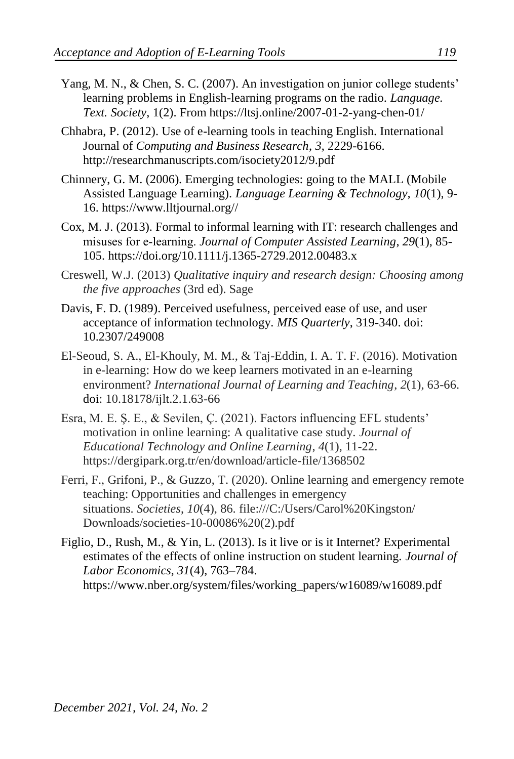- Yang, M. N., & Chen, S. C. (2007). An investigation on junior college students' learning problems in English-learning programs on the radio. *Language. Text. Society*, 1(2). From https://ltsj.online/2007-01-2-yang-chen-01/
- Chhabra, P. (2012). Use of e-learning tools in teaching English. International Journal of *Computing and Business Research*, *3*, 2229-6166. http://researchmanuscripts.com/isociety2012/9.pdf
- Chinnery, G. M. (2006). Emerging technologies: going to the MALL (Mobile Assisted Language Learning). *Language Learning & Technology, 10*(1), 9- 16. https://www.lltjournal.org//
- Cox, M. J. (2013). Formal to informal learning with IT: research challenges and misuses for e‐learning. *Journal of Computer Assisted Learning*, *29*(1), 85- 105. https://doi.org/10.1111/j.1365-2729.2012.00483.x
- Creswell, W.J. (2013) *Qualitative inquiry and research design: Choosing among the five approaches* (3rd ed). Sage
- Davis, F. D. (1989). Perceived usefulness, perceived ease of use, and user acceptance of information technology. *MIS Quarterly*, 319-340. doi: 10.2307/249008
- El-Seoud, S. A., El-Khouly, M. M., & Taj-Eddin, I. A. T. F. (2016). Motivation in e-learning: How do we keep learners motivated in an e-learning environment? *International Journal of Learning and Teaching*, *2*(1), 63-66. doi: 10.18178/ijlt.2.1.63-66
- Esra, M. E. Ş. E., & Sevilen, Ç. (2021). Factors influencing EFL students' motivation in online learning: A qualitative case study. *Journal of Educational Technology and Online Learning*, *4*(1), 11-22. https://dergipark.org.tr/en/download/article-file/1368502
- Ferri, F., Grifoni, P., & Guzzo, T. (2020). Online learning and emergency remote teaching: Opportunities and challenges in emergency situations. *Societies*, *10*(4), 86. file:///C:/Users/Carol%20Kingston/ Downloads/societies-10-00086%20(2).pdf
- Figlio, D., Rush, M., & Yin, L. (2013). Is it live or is it Internet? Experimental estimates of the effects of online instruction on student learning. *Journal of Labor Economics, 31*(4), 763–784. https://www.nber.org/system/files/working\_papers/w16089/w16089.pdf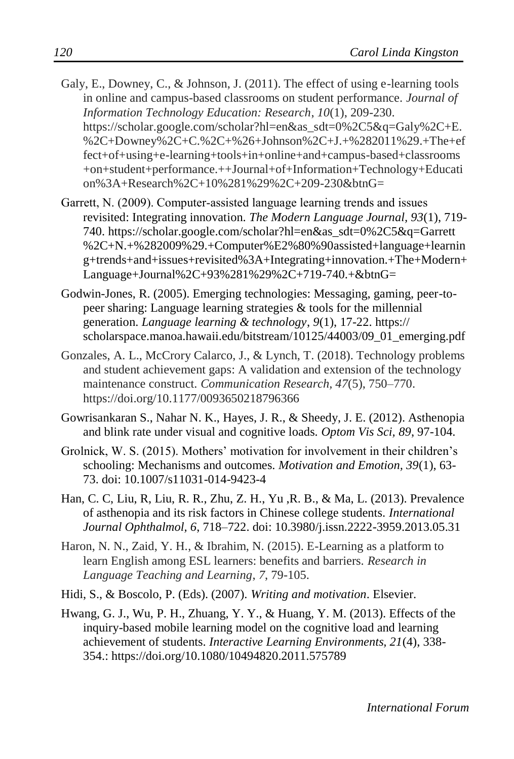- Galy, E., Downey, C., & Johnson, J. (2011). The effect of using e-learning tools in online and campus-based classrooms on student performance. *Journal of Information Technology Education: Research*, *10*(1), 209-230. https://scholar.google.com/scholar?hl=en&as\_sdt=0%2C5&q=Galy%2C+E. %2C+Downey%2C+C.%2C+%26+Johnson%2C+J.+%282011%29.+The+ef fect+of+using+e-learning+tools+in+online+and+campus-based+classrooms +on+student+performance.++Journal+of+Information+Technology+Educati on%3A+Research%2C+10%281%29%2C+209-230&btnG=
- Garrett, N. (2009). Computer‐assisted language learning trends and issues revisited: Integrating innovation. *The Modern Language Journal, 93*(1), 719- 740. https://scholar.google.com/scholar?hl=en&as\_sdt=0%2C5&q=Garrett %2C+N.+%282009%29.+Computer%E2%80%90assisted+language+learnin g+trends+and+issues+revisited%3A+Integrating+innovation.+The+Modern+ Language+Journal%2C+93%281%29%2C+719-740.+&btnG=
- Godwin-Jones, R. (2005). Emerging technologies: Messaging, gaming, peer-topeer sharing: Language learning strategies & tools for the millennial generation. *Language learning & technology*, *9*(1), 17-22. https:// scholarspace.manoa.hawaii.edu/bitstream/10125/44003/09\_01\_emerging.pdf
- Gonzales, A. L., McCrory Calarco, J., & Lynch, T. (2018). Technology problems and student achievement gaps: A validation and extension of the technology maintenance construct. *Communication Research, 47*(5), 750–770. https://doi.org/10.1177/0093650218796366
- Gowrisankaran S., Nahar N. K., Hayes, J. R., & Sheedy, J. E. (2012). Asthenopia and blink rate under visual and cognitive loads*. Optom Vis Sci, 89*, 97-104.
- Grolnick, W. S. (2015). Mothers' motivation for involvement in their children's schooling: Mechanisms and outcomes. *Motivation and Emotion, 39*(1), 63- 73. doi: 10.1007/s11031-014-9423-4
- Han, C. C, Liu, R, Liu, R. R., Zhu, Z. H., Yu ,R. B., & Ma, L. (2013). Prevalence of asthenopia and its risk factors in Chinese college students. *International Journal Ophthalmol, 6*, 718–722. doi: 10.3980/j.issn.2222-3959.2013.05.31
- Haron, N. N., Zaid, Y. H., & Ibrahim, N. (2015). E-Learning as a platform to learn English among ESL learners: benefits and barriers. *Research in Language Teaching and Learning*, *7*, 79-105.
- Hidi, S., & Boscolo, P. (Eds). (2007). *Writing and motivation*. Elsevier.
- Hwang, G. J., Wu, P. H., Zhuang, Y. Y., & Huang, Y. M. (2013). Effects of the inquiry-based mobile learning model on the cognitive load and learning achievement of students. *Interactive Learning Environments, 21*(4), 338- 354.: https://doi.org/10.1080/10494820.2011.575789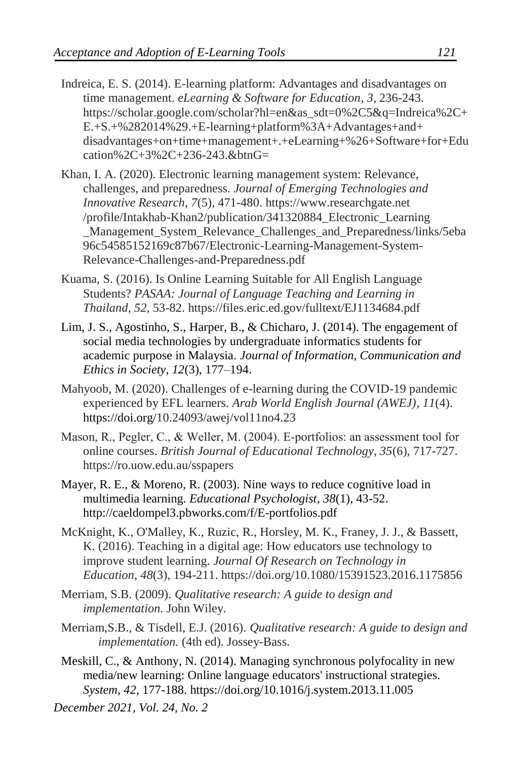- Indreica, E. S. (2014). E-learning platform: Advantages and disadvantages on time management. *eLearning & Software for Education*, *3*, 236-243. https://scholar.google.com/scholar?hl=en&as\_sdt=0%2C5&q=Indreica%2C+ E.+S.+%282014%29.+E-learning+platform%3A+Advantages+and+ disadvantages+on+time+management+.+eLearning+%26+Software+for+Edu cation%2C+3%2C+236-243.&btnG=
- Khan, I. A. (2020). Electronic learning management system: Relevance, challenges, and preparedness. *Journal of Emerging Technologies and Innovative Research*, *7*(5), 471-480. https://www.researchgate.net /profile/Intakhab-Khan2/publication/341320884\_Electronic\_Learning \_Management\_System\_Relevance\_Challenges\_and\_Preparedness/links/5eba 96c54585152169c87b67/Electronic-Learning-Management-System-Relevance-Challenges-and-Preparedness.pdf
- Kuama, S. (2016). Is Online Learning Suitable for All English Language Students? *PASAA: Journal of Language Teaching and Learning in Thailand*, *52*, 53-82. https://files.eric.ed.gov/fulltext/EJ1134684.pdf
- Lim, J. S., Agostinho, S., Harper, B., & Chicharo, J. (2014). The engagement of social media technologies by undergraduate informatics students for academic purpose in Malaysia. *Journal of Information, Communication and Ethics in Society, 12*(3), 177–194.
- Mahyoob, M. (2020). Challenges of e-learning during the COVID-19 pandemic experienced by EFL learners. *Arab World English Journal (AWEJ)*, *11*(4). https://doi.org/10.24093/awej/vol11no4.23
- Mason, R., Pegler, C., & Weller, M. (2004). E-portfolios: an assessment tool for online courses. *British Journal of Educational Technology, 35*(6), 717-727. https://ro.uow.edu.au/sspapers
- Mayer, R. E., & Moreno, R. (2003). Nine ways to reduce cognitive load in multimedia learning. *Educational Psychologist*, *38*(1), 43-52. http://caeldompel3.pbworks.com/f/E-portfolios.pdf
- McKnight, K., O'Malley, K., Ruzic, R., Horsley, M. K., Franey, J. J., & Bassett, K. (2016). Teaching in a digital age: How educators use technology to improve student learning. *Journal Of Research on Technology in Education*, *48*(3), 194-211. https://doi.org/10.1080/15391523.2016.1175856
- Merriam, S.B. (2009). *Qualitative research: A guide to design and implementation.* John Wiley.
- Merriam,S.B., & Tisdell, E.J. (2016). *Qualitative research: A guide to design and implementation.* (4th ed). Jossey-Bass.
- Meskill, C., & Anthony, N. (2014). Managing synchronous polyfocality in new media/new learning: Online language educators' instructional strategies. *System*, *42*, 177-188. https://doi.org/10.1016/j.system.2013.11.005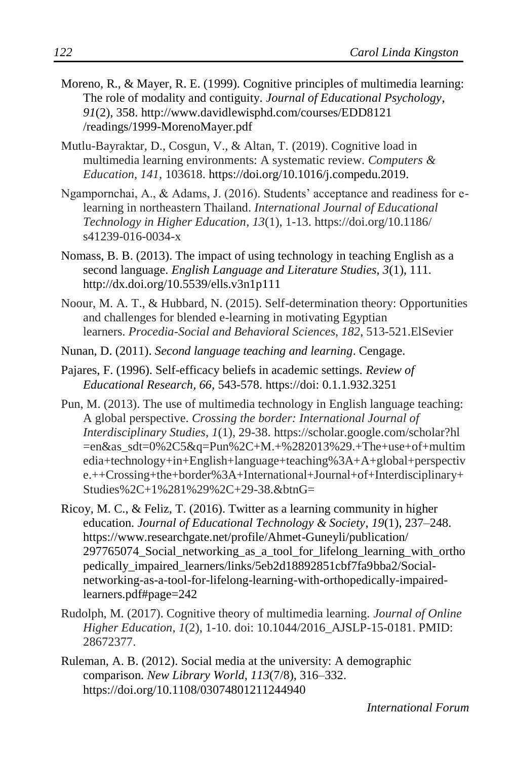- Moreno, R., & Mayer, R. E. (1999). Cognitive principles of multimedia learning: The role of modality and contiguity. *Journal of Educational Psychology*, *91*(2), 358. http://www.davidlewisphd.com/courses/EDD8121 /readings/1999-MorenoMayer.pdf
- Mutlu-Bayraktar, D., Cosgun, V., & Altan, T. (2019). Cognitive load in multimedia learning environments: A systematic review. *Computers & Education*, *141*, 103618. https://doi.org/10.1016/j.compedu.2019.
- Ngampornchai, A., & Adams, J. (2016). Students' acceptance and readiness for elearning in northeastern Thailand. *International Journal of Educational Technology in Higher Education*, *13*(1), 1-13. https://doi.org/10.1186/ s41239-016-0034-x
- Nomass, B. B. (2013). The impact of using technology in teaching English as a second language. *English Language and Literature Studies, 3*(1), 111. http://dx.doi.org/10.5539/ells.v3n1p111
- Noour, M. A. T., & Hubbard, N. (2015). Self-determination theory: Opportunities and challenges for blended e-learning in motivating Egyptian learners. *Procedia-Social and Behavioral Sciences*, *182*, 513-521.ElSevier
- Nunan, D. (2011). *Second language teaching and learning*. Cengage.
- Pajares, F. (1996). Self-efficacy beliefs in academic settings. *Review of Educational Research, 66,* 543-578. https://doi: 0.1.1.932.3251
- Pun, M. (2013). The use of multimedia technology in English language teaching: A global perspective. *Crossing the border: International Journal of Interdisciplinary Studies*, *1*(1), 29-38. https://scholar.google.com/scholar?hl =en&as\_sdt=0%2C5&q=Pun%2C+M.+%282013%29.+The+use+of+multim edia+technology+in+English+language+teaching%3A+A+global+perspectiv e.++Crossing+the+border%3A+International+Journal+of+Interdisciplinary+ Studies%2C+1%281%29%2C+29-38.&btnG=
- Ricoy, M. C., & Feliz, T. (2016). Twitter as a learning community in higher education. *Journal of Educational Technology & Society*, *19*(1), 237–248. https://www.researchgate.net/profile/Ahmet-Guneyli/publication/ 297765074\_Social\_networking\_as\_a\_tool\_for\_lifelong\_learning\_with\_ortho pedically\_impaired\_learners/links/5eb2d18892851cbf7fa9bba2/Socialnetworking-as-a-tool-for-lifelong-learning-with-orthopedically-impairedlearners.pdf#page=242
- Rudolph, M. (2017). Cognitive theory of multimedia learning. *Journal of Online Higher Education*, *1*(2), 1-10. doi: 10.1044/2016\_AJSLP-15-0181. PMID: 28672377.
- Ruleman, A. B. (2012). Social media at the university: A demographic comparison. *New Library World, 113*(7/8), 316–332. https://doi.org/10.1108/03074801211244940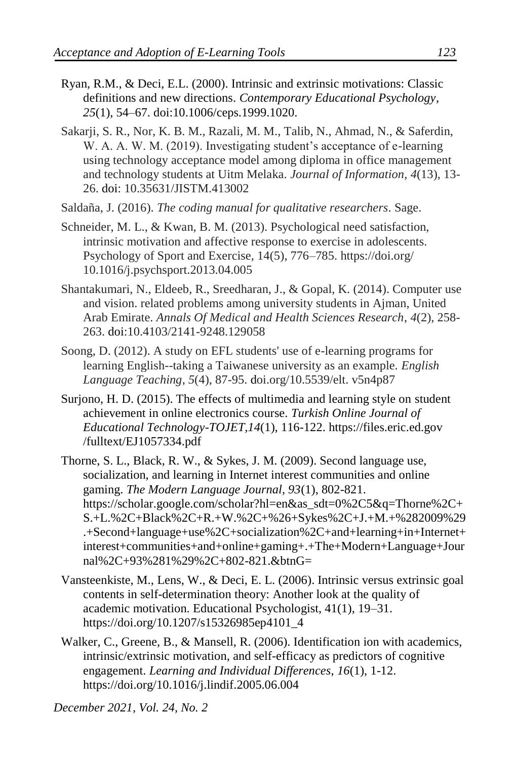- Ryan, R.M., & Deci, E.L. (2000). Intrinsic and extrinsic motivations: Classic definitions and new directions. *Contemporary Educational Psychology*, *25*(1), 54–67. doi:10.1006/ceps.1999.1020.
- Sakarji, S. R., Nor, K. B. M., Razali, M. M., Talib, N., Ahmad, N., & Saferdin, W. A. A. W. M. (2019). Investigating student's acceptance of e-learning using technology acceptance model among diploma in office management and technology students at Uitm Melaka. *Journal of Information*, *4*(13), 13- 26. doi: 10.35631/JISTM.413002
- Saldaña, J. (2016). *The coding manual for qualitative researchers*. Sage.
- Schneider, M. L., & Kwan, B. M. (2013). Psychological need satisfaction, intrinsic motivation and affective response to exercise in adolescents. Psychology of Sport and Exercise, 14(5), 776–785. https://doi.org/ 10.1016/j.psychsport.2013.04.005
- Shantakumari, N., Eldeeb, R., Sreedharan, J., & Gopal, K. (2014). Computer use and vision. related problems among university students in Ajman, United Arab Emirate. *Annals Of Medical and Health Sciences Research*, *4*(2), 258- 263. doi:10.4103/2141-9248.129058
- Soong, D. (2012). A study on EFL students' use of e-learning programs for learning English--taking a Taiwanese university as an example. *English Language Teaching*, *5*(4), 87-95. doi.org/10.5539/elt. v5n4p87
- Surjono, H. D. (2015). The effects of multimedia and learning style on student achievement in online electronics course. *Turkish Online Journal of Educational Technology*-*TOJET,14*(1), 116-122. https://files.eric.ed.gov /fulltext/EJ1057334.pdf
- Thorne, S. L., Black, R. W., & Sykes, J. M. (2009). Second language use, socialization, and learning in Internet interest communities and online gaming. *The Modern Language Journal, 93*(1), 802-821. https://scholar.google.com/scholar?hl=en&as\_sdt=0%2C5&q=Thorne%2C+ S.+L.%2C+Black%2C+R.+W.%2C+%26+Sykes%2C+J.+M.+%282009%29 .+Second+language+use%2C+socialization%2C+and+learning+in+Internet+ interest+communities+and+online+gaming+.+The+Modern+Language+Jour nal%2C+93%281%29%2C+802-821.&btnG=
- Vansteenkiste, M., Lens, W., & Deci, E. L. (2006). Intrinsic versus extrinsic goal contents in self-determination theory: Another look at the quality of academic motivation. Educational Psychologist, 41(1), 19–31. https://doi.org/10.1207/s15326985ep4101\_4
- Walker, C., Greene, B., & Mansell, R. (2006). Identification ion with academics, intrinsic/extrinsic motivation, and self-efficacy as predictors of cognitive engagement. *Learning and Individual Differences*, *16*(1), 1-12. https://doi.org/10.1016/j.lindif.2005.06.004